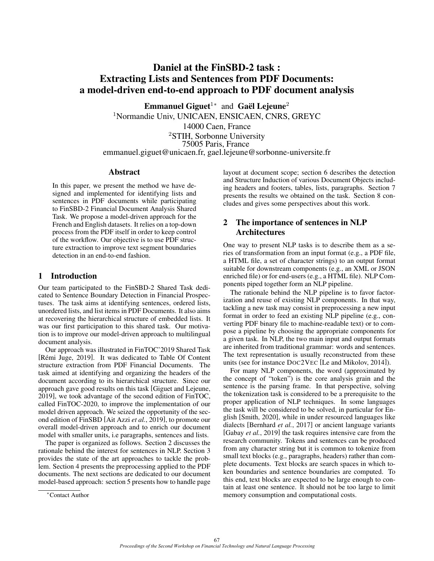# Daniel at the FinSBD-2 task : Extracting Lists and Sentences from PDF Documents: a model-driven end-to-end approach to PDF document analysis

Emmanuel Giguet<sup>1</sup>\* and Gaël Lejeune<sup>2</sup>

<sup>1</sup>Normandie Univ, UNICAEN, ENSICAEN, CNRS, GREYC

14000 Caen, France

<sup>2</sup>STIH, Sorbonne University 75005 Paris, France emmanuel.giguet@unicaen.fr, gael.lejeune@sorbonne-universite.fr

### Abstract

In this paper, we present the method we have designed and implemented for identifying lists and sentences in PDF documents while participating to FinSBD-2 Financial Document Analysis Shared Task. We propose a model-driven approach for the French and English datasets. It relies on a top-down process from the PDF itself in order to keep control of the workflow. Our objective is to use PDF structure extraction to improve text segment boundaries detection in an end-to-end fashion.

# 1 Introduction

Our team participated to the FinSBD-2 Shared Task dedicated to Sentence Boundary Detection in Financial Prospectuses. The task aims at identifying sentences, ordered lists, unordered lists, and list items in PDF Documents. It also aims at recovering the hierarchical structure of embedded lists. It was our first participation to this shared task. Our motivation is to improve our model-driven approach to multilingual document analysis.

Our approach was illustrated in FinTOC'2019 Shared Task [Rémi Juge, 2019]. It was dedicated to Table Of Content structure extraction from PDF Financial Documents. The task aimed at identifying and organizing the headers of the document according to its hierarchical structure. Since our approach gave good results on this task [\[Giguet and Lejeune,](#page-7-1) [2019\]](#page-7-1), we took advantage of the second edition of FinTOC, called FinTOC-2020, to improve the implementation of our model driven approach. We seized the opportunity of the second edition of FinSBD [\[Ait Azzi](#page-6-0) *et al.*, 2019], to promote our overall model-driven approach and to enrich our document model with smaller units, i.e paragraphs, sentences and lists.

The paper is organized as follows. Section [2](#page-0-0) discusses the rationale behind the interest for sentences in NLP. Section [3](#page-1-0) provides the state of the art approaches to tackle the problem. Section [4](#page-1-1) presents the preprocessing applied to the PDF documents. The next sections are dedicated to our document model-based approach: section [5](#page-2-0) presents how to handle page layout at document scope; section [6](#page-3-0) describes the detection and Structure Induction of various Document Objects including headers and footers, tables, lists, paragraphs. Section [7](#page-5-0) presents the results we obtained on the task. Section [8](#page-5-1) concludes and gives some perspectives about this work.

# <span id="page-0-0"></span>2 The importance of sentences in NLP Architectures

One way to present NLP tasks is to describe them as a series of transformation from an input format (e.g., a PDF file, a HTML file, a set of character strings) to an output format suitable for downstream components (e.g., an XML or JSON enriched file) or for end-users (e.g., a HTML file). NLP Components piped together form an NLP pipeline.

The rationale behind the NLP pipeline is to favor factorization and reuse of existing NLP components. In that way, tackling a new task may consist in preprocessing a new input format in order to feed an existing NLP pipeline (e.g., converting PDF binary file to machine-readable text) or to compose a pipeline by choosing the appropriate components for a given task. In NLP, the two main input and output formats are inherited from traditional grammar: words and sentences. The text representation is usually reconstructed from these units (see for instance DOC2VEC [\[Le and Mikolov, 2014\]](#page-7-2)).

For many NLP components, the word (approximated by the concept of "token") is the core analysis grain and the sentence is the parsing frame. In that perspective, solving the tokenization task is considered to be a prerequisite to the proper application of NLP techniques. In some languages the task will be considered to be solved, in particular for English [\[Smith, 2020\]](#page-7-3), while in under resourced languages like dialects [\[Bernhard](#page-6-1) *et al.*, 2017] or ancient language variants [\[Gabay](#page-6-2) *et al.*, 2019] the task requires intensive care from the research community. Tokens and sentences can be produced from any character string but it is common to tokenize from small text blocks (e.g., paragraphs, headers) rather than complete documents. Text blocks are search spaces in which token boundaries and sentence boundaries are computed. To this end, text blocks are expected to be large enough to contain at least one sentence. It should not be too large to limit memory consumption and computational costs.

<sup>∗</sup>Contact Author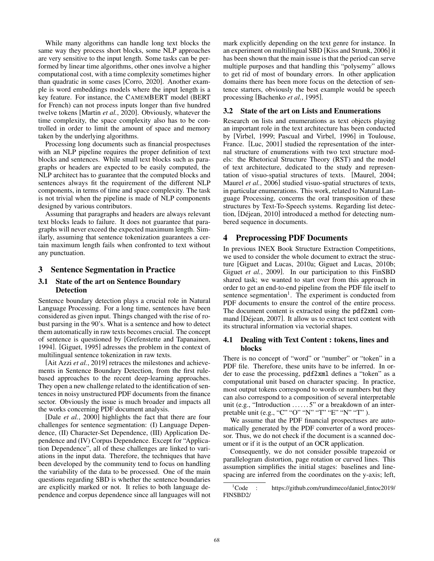While many algorithms can handle long text blocks the same way they process short blocks, some NLP approaches are very sensitive to the input length. Some tasks can be performed by linear time algorithms, other ones involve a higher computational cost, with a time complexity sometimes higher than quadratic in some cases [\[Corro, 2020\]](#page-6-3). Another example is word embeddings models where the input length is a key feature. For instance, the CAMEMBERT model (BERT for French) can not process inputs longer than five hundred twelve tokens [\[Martin](#page-7-4) *et al.*, 2020]. Obviously, whatever the time complexity, the space complexity also has to be controlled in order to limit the amount of space and memory taken by the underlying algorithms.

Processing long documents such as financial prospectuses with an NLP pipeline requires the proper definition of text blocks and sentences. While small text blocks such as paragraphs or headers are expected to be easily computed, the NLP architect has to guarantee that the computed blocks and sentences always fit the requirement of the different NLP components, in terms of time and space complexity. The task is not trivial when the pipeline is made of NLP components designed by various contributors.

Assuming that paragraphs and headers are always relevant text blocks leads to failure. It does not guarantee that paragraphs will never exceed the expected maximum length. Similarly, assuming that sentence tokenization guarantees a certain maximum length fails when confronted to text without any punctuation.

### <span id="page-1-0"></span>3 Sentence Segmentation in Practice

#### 3.1 State of the art on Sentence Boundary **Detection**

Sentence boundary detection plays a crucial role in Natural Language Processing. For a long time, sentences have been considered as given input. Things changed with the rise of robust parsing in the 90's. What is a sentence and how to detect them automatically in raw texts becomes crucial. The concept of sentence is questioned by [\[Grefenstette and Tapanainen,](#page-7-5) [1994\]](#page-7-5). [\[Giguet, 1995\]](#page-7-6) adresses the problem in the context of multilingual sentence tokenization in raw texts.

[\[Ait Azzi](#page-6-0) *et al.*, 2019] retraces the milestones and achievements in Sentence Boundary Detection, from the first rulebased approaches to the recent deep-learning approaches. They open a new challenge related to the identification of sentences in noisy unstructured PDF documents from the finance sector. Obviously the issue is much broader and impacts all the works concerning PDF document analysis.

[Dale *et al.*[, 2000\]](#page-6-4) highlights the fact that there are four challenges for sentence segmentation: (I) Language Dependence, (II) Character-Set Dependence, (III) Application Dependence and (IV) Corpus Dependence. Except for "Application Dependence", all of these challenges are linked to variations in the input data. Therefore, the techniques that have been developed by the community tend to focus on handling the variability of the data to be processed. One of the main questions regarding SBD is whether the sentence boundaries are explicitly marked or not. It relies to both language dependence and corpus dependence since all languages will not mark explicitly depending on the text genre for instance. In an experiment on multilingual SBD [\[Kiss and Strunk, 2006\]](#page-7-7) it has been shown that the main issue is that the period can serve multiple purposes and that handling this "polysemy" allows to get rid of most of boundary errors. In other application domains there has been more focus on the detection of sentence starters, obviously the best example would be speech processing [\[Bachenko](#page-6-5) *et al.*, 1995].

# 3.2 State of the art on Lists and Enumerations

Research on lists and enumerations as text objects playing an important role in the text architecture has been conducted by [\[Virbel, 1999;](#page-7-8) [Pascual and Virbel, 1996\]](#page-7-9) in Toulouse, France. [\[Luc, 2001\]](#page-7-10) studied the representation of the internal structure of enumerations with two text structure models: the Rhetorical Structure Theory (RST) and the model of text architecture, dedicated to the study and representation of visuo-spatial structures of texts. [\[Maurel, 2004;](#page-7-11) [Maurel](#page-7-12) *et al.*, 2006] studied visuo-spatial structures of texts, in particular enumerations. This work, related to Natural Language Processing, concerns the oral transposition of these structures by Text-To-Speech systems. Regarding list detection, [Déjean, 2010] introduced a method for detecting numbered sequence in documents.

# <span id="page-1-1"></span>4 Preprocessing PDF Documents

In previous INEX Book Structure Extraction Competitions, we used to consider the whole document to extract the structure [\[Giguet and Lucas, 2010a;](#page-7-13) [Giguet and Lucas, 2010b;](#page-7-14) Giguet *et al.*[, 2009\]](#page-7-15). In our participation to this FinSBD shared task; we wanted to start over from this approach in order to get an end-to-end pipeline from the PDF file itself to sentence segmentation<sup>[1](#page-1-2)</sup>. The experiment is conducted from PDF documents to ensure the control of the entire process. The document content is extracted using the pdf2xml command [Déjean, 2007]. It allow us to extract text content with its structural information via vectorial shapes.

### 4.1 Dealing with Text Content : tokens, lines and blocks

There is no concept of "word" or "number" or "token" in a PDF file. Therefore, these units have to be inferred. In order to ease the processing, pdf2xml defines a "token" as a computational unit based on character spacing. In practice, most output tokens correspond to words or numbers but they can also correspond to a composition of several interpretable unit (e.g., "Introduction ...... 5" or a breakdown of an interpretable unit (e.g., "C" "O" "N" "T" "E" "N" "T").

We assume that the PDF financial prospectuses are automatically generated by the PDF converter of a word processor. Thus, we do not check if the document is a scanned document or if it is the output of an OCR application.

Consequently, we do not consider possible trapezoid or parallelogram distortion, page rotation or curved lines. This assumption simplifies the initial stages: baselines and linespacing are inferred from the coordinates on the y-axis; left,

<span id="page-1-2"></span><sup>1</sup>Code : [https://github.com/rundimeco/daniel](https://github.com/rundimeco/daniel_fintoc2019/FINSBD2/)\_fintoc2019/ [FINSBD2/](https://github.com/rundimeco/daniel_fintoc2019/FINSBD2/)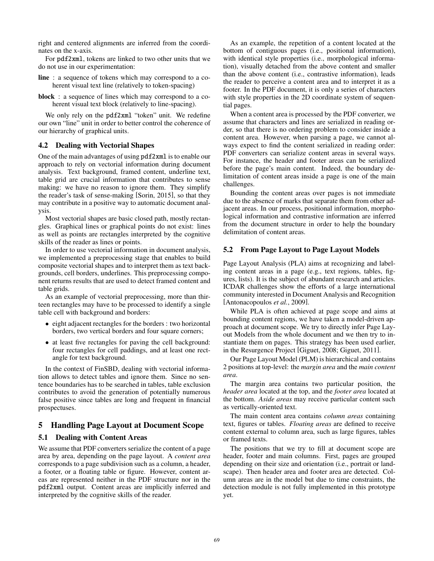right and centered alignments are inferred from the coordinates on the x-axis.

For pdf2xml, tokens are linked to two other units that we do not use in our experimentation:

line : a sequence of tokens which may correspond to a coherent visual text line (relatively to token-spacing)

block : a sequence of lines which may correspond to a coherent visual text block (relatively to line-spacing).

We only rely on the pdf2xml "token" unit. We redefine our own "line" unit in order to better control the coherence of our hierarchy of graphical units.

#### 4.2 Dealing with Vectorial Shapes

One of the main advantages of using pdf2xml is to enable our approach to rely on vectorial information during document analysis. Text background, framed content, underline text, table grid are crucial information that contributes to sense making: we have no reason to ignore them. They simplify the reader's task of sense-making [\[Sorin, 2015\]](#page-7-16), so that they may contribute in a positive way to automatic document analysis.

Most vectorial shapes are basic closed path, mostly rectangles. Graphical lines or graphical points do not exist: lines as well as points are rectangles interpreted by the cognitive skills of the reader as lines or points.

In order to use vectorial information in document analysis, we implemented a preprocessing stage that enables to build composite vectorial shapes and to interpret them as text backgrounds, cell borders, underlines. This preprocessing component returns results that are used to detect framed content and table grids.

As an example of vectorial preprocessing, more than thirteen rectangles may have to be processed to identify a single table cell with background and borders:

- eight adjacent rectangles for the borders : two horizontal borders, two vertical borders and four square corners;
- at least five rectangles for paving the cell background: four rectangles for cell paddings, and at least one rectangle for text background.

In the context of FinSBD, dealing with vectorial information allows to detect tables and ignore them. Since no sentence boundaries has to be searched in tables, table exclusion contributes to avoid the generation of potentially numerous false positive since tables are long and frequent in financial prospectuses.

# <span id="page-2-0"></span>5 Handling Page Layout at Document Scope

#### 5.1 Dealing with Content Areas

We assume that PDF converters serialize the content of a page area by area, depending on the page layout. A *content area* corresponds to a page subdivision such as a column, a header, a footer, or a floating table or figure. However, content areas are represented neither in the PDF structure nor in the pdf2xml output. Content areas are implicitly inferred and interpreted by the cognitive skills of the reader.

As an example, the repetition of a content located at the bottom of contiguous pages (i.e., positional information), with identical style properties (i.e., morphological information), visually detached from the above content and smaller than the above content (i.e., contrastive information), leads the reader to perceive a content area and to interpret it as a footer. In the PDF document, it is only a series of characters with style properties in the 2D coordinate system of sequential pages.

When a content area is processed by the PDF converter, we assume that characters and lines are serialized in reading order, so that there is no ordering problem to consider inside a content area. However, when parsing a page, we cannot always expect to find the content serialized in reading order: PDF converters can serialize content areas in several ways. For instance, the header and footer areas can be serialized before the page's main content. Indeed, the boundary delimitation of content areas inside a page is one of the main challenges.

Bounding the content areas over pages is not immediate due to the absence of marks that separate them from other adjacent areas. In our process, positional information, morphological information and contrastive information are inferred from the document structure in order to help the boundary delimitation of content areas.

#### 5.2 From Page Layout to Page Layout Models

Page Layout Analysis (PLA) aims at recognizing and labeling content areas in a page (e.g., text regions, tables, figures, lists). It is the subject of abundant research and articles. ICDAR challenges show the efforts of a large international community interested in Document Analysis and Recognition [\[Antonacopoulos](#page-6-8) *et al.*, 2009].

While PLA is often achieved at page scope and aims at bounding content regions, we have taken a model-driven approach at document scope. We try to directly infer Page Layout Models from the whole document and we then try to instantiate them on pages. This strategy has been used earlier, in the Resurgence Project [\[Giguet, 2008;](#page-7-17) [Giguet, 2011\]](#page-7-18).

Our Page Layout Model (PLM) is hierarchical and contains 2 positions at top-level: the *margin area* and the *main content area*.

The margin area contains two particular position, the *header area* located at the top, and the *footer area* located at the bottom. *Aside areas* may receive particular content such as vertically-oriented text.

The main content area contains *column areas* containing text, figures or tables. *Floating areas* are defined to receive content external to column area, such as large figures, tables or framed texts.

The positions that we try to fill at document scope are header, footer and main columns. First, pages are grouped depending on their size and orientation (i.e., portrait or landscape). Then header area and footer area are detected. Column areas are in the model but due to time constraints, the detection module is not fully implemented in this prototype yet.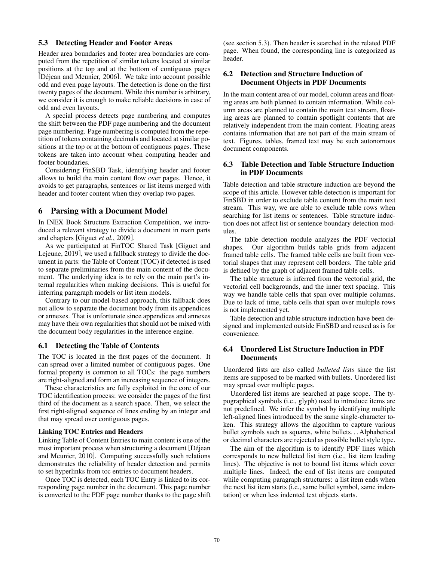#### <span id="page-3-1"></span>5.3 Detecting Header and Footer Areas

Header area boundaries and footer area boundaries are computed from the repetition of similar tokens located at similar positions at the top and at the bottom of contiguous pages [Déjean and Meunier, 2006]. We take into account possible odd and even page layouts. The detection is done on the first twenty pages of the document. While this number is arbitrary, we consider it is enough to make reliable decisions in case of odd and even layouts.

A special process detects page numbering and computes the shift between the PDF page numbering and the document page numbering. Page numbering is computed from the repetition of tokens containing decimals and located at similar positions at the top or at the bottom of contiguous pages. These tokens are taken into account when computing header and footer boundaries.

Considering FinSBD Task, identifying header and footer allows to build the main content flow over pages. Hence, it avoids to get paragraphs, sentences or list items merged with header and footer content when they overlap two pages.

#### <span id="page-3-0"></span>6 Parsing with a Document Model

In INEX Book Structure Extraction Competition, we introduced a relevant strategy to divide a document in main parts and chapters [\[Giguet](#page-7-15) *et al.*, 2009].

As we participated at FinTOC Shared Task [\[Giguet and](#page-7-1) [Lejeune, 2019\]](#page-7-1), we used a fallback strategy to divide the document in parts: the Table of Content (TOC) if detected is used to separate preliminaries from the main content of the document. The underlying idea is to rely on the main part's internal regularities when making decisions. This is useful for inferring paragraph models or list item models.

Contrary to our model-based approach, this fallback does not allow to separate the document body from its appendices or annexes. That is unfortunate since appendices and annexes may have their own regularities that should not be mixed with the document body regularities in the inference engine.

#### 6.1 Detecting the Table of Contents

The TOC is located in the first pages of the document. It can spread over a limited number of contiguous pages. One formal property is common to all TOCs: the page numbers are right-aligned and form an increasing sequence of integers.

These characteristics are fully exploited in the core of our TOC identification process: we consider the pages of the first third of the document as a search space. Then, we select the first right-aligned sequence of lines ending by an integer and that may spread over contiguous pages.

#### <span id="page-3-2"></span>Linking TOC Entries and Headers

Linking Table of Content Entries to main content is one of the most important process when structuring a document [Déjean [and Meunier, 2010\]](#page-6-10). Computing successfully such relations demonstrates the reliability of header detection and permits to set hyperlinks from toc entries to document headers.

Once TOC is detected, each TOC Entry is linked to its corresponding page number in the document. This page number is converted to the PDF page number thanks to the page shift (see section [5.3\)](#page-3-1). Then header is searched in the related PDF page. When found, the corresponding line is categorized as header.

### 6.2 Detection and Structure Induction of Document Objects in PDF Documents

In the main content area of our model, column areas and floating areas are both planned to contain information. While column areas are planned to contain the main text stream, floating areas are planned to contain spotlight contents that are relatively independent from the main content. Floating areas contains information that are not part of the main stream of text. Figures, tables, framed text may be such autonomous document components.

#### 6.3 Table Detection and Table Structure Induction in PDF Documents

Table detection and table structure induction are beyond the scope of this article. However table detection is important for FinSBD in order to exclude table content from the main text stream. This way, we are able to exclude table rows when searching for list items or sentences. Table structure induction does not affect list or sentence boundary detection modules.

The table detection module analyzes the PDF vectorial shapes. Our algorithm builds table grids from adjacent framed table cells. The framed table cells are built from vectorial shapes that may represent cell borders. The table grid is defined by the graph of adjacent framed table cells.

The table structure is inferred from the vectorial grid, the vectorial cell backgrounds, and the inner text spacing. This way we handle table cells that span over multiple columns. Due to lack of time, table cells that span over multiple rows is not implemented yet.

Table detection and table structure induction have been designed and implemented outside FinSBD and reused as is for convenience.

#### <span id="page-3-3"></span>6.4 Unordered List Structure Induction in PDF **Documents**

Unordered lists are also called *bulleted lists* since the list items are supposed to be marked with bullets. Unordered list may spread over multiple pages.

Unordered list items are searched at page scope. The typographical symbols (i.e., glyph) used to introduce items are not predefined. We infer the symbol by identifying multiple left-aligned lines introduced by the same single-character token. This strategy allows the algorithm to capture various bullet symbols such as squares, white bullets. . . Alphabetical or decimal characters are rejected as possible bullet style type.

The aim of the algorithm is to identify PDF lines which corresponds to new bulleted list item (i.e., list item leading lines). The objective is not to bound list items which cover multiple lines. Indeed, the end of list items are computed while computing paragraph structures: a list item ends when the next list item starts (i.e., same bullet symbol, same indentation) or when less indented text objects starts.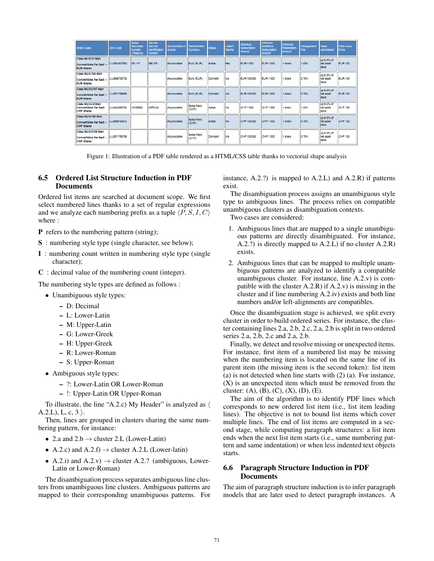| Share Class                                                                     | <b>ISIN Code</b> | <b>Swiss</b><br>Securities<br>Number<br>(Telekurs) | German<br>Security<br><b>Identification</b><br>Number | Accumulative or<br>Income | Denomination<br>Currency | <b>Status</b> | Listed?<br>Yes/No | Minimum<br>Subscription<br>Amount | Minimum<br>Additional<br>Subscription<br>Amount | Minimum<br>Redemotion<br>Amount | Management<br>Fee | <b>Sales</b><br>commission        | <b>Initial Issue</b><br>Price |
|---------------------------------------------------------------------------------|------------------|----------------------------------------------------|-------------------------------------------------------|---------------------------|--------------------------|---------------|-------------------|-----------------------------------|-------------------------------------------------|---------------------------------|-------------------|-----------------------------------|-------------------------------|
| Class MUS D1 Man<br>Convertibles Far East -<br><b>EUR Shares</b>                | LU0061927850     | 051.117                                            | 986 576                                               | Accumulative              | Euro (EUR)               | Active        | Yes               | <b>EUR 1'000</b>                  | <b>EUR 1'000</b>                                | 1 share                         | 1.50%             | up to 5% of<br>net asset<br>value | <b>EUR 100</b>                |
| Class MUS I168 Man<br>Convertibles Far East -<br><b>EUR Shares</b>              | ILU0686792739    |                                                    |                                                       | Accumulative              | Euro (EUR)               | Dormant       | <b>n/a</b>        | <b>EUR 100'000</b>                | <b>EUR 1'000</b>                                | 1 share                         | 0.75%             | up to 5% of<br>net asset<br>value | <b>EUR 100</b>                |
| Class MUS D197 Man<br>Convertibles Far East - LU0871786686<br><b>EUR Shares</b> |                  |                                                    |                                                       | Accumulative              | Euro (EUR)               | Dormant       | <b>In/a</b>       | <b>EUR 100'000</b>                | <b>EUR 1'000</b>                                | 1 share                         | 0.75%             | up to 5% of<br>net asset<br>value | <b>EUR 100</b>                |
| Class MUS D2 Man<br><b>Convertibles Far East -</b><br><b>CHF Shares</b>         | LU0424369766     | 10109862                                           | <b>AORNJ5</b>                                         | Accumulative              | Swiss franc<br>(CHF)     | Active        | No                | CHF 1'000                         | CHF 1'000                                       | 1 share                         | 1.50%             | up to 5% of<br>net asset<br>value | CHF 100                       |
| Class MUS I169 Man<br>Convertibles Far East -<br><b>CHF Shares</b>              | LU0686792812     |                                                    |                                                       | Accumulative              | Swiss franc<br>(CHF)     | Active        | No                | CHF 100'000                       | CHF 1'000                                       | 1 share                         | 0.75%             | up to 5% of<br>net asset<br>value | CHF 100                       |
| Class MUS D198 Man<br>Convertibles Far East -<br><b>CHF Shares</b>              | ILU0871786769    |                                                    |                                                       | Accumulative              | Swiss franc<br>(CHF)     | Dormant       | n/a               | CHF 100'000                       | CHF 1'000                                       | 1 share                         | 0.75%             | up to 5% of<br>net asset<br>value | CHF 100                       |

Figure 1: Illustration of a PDF table rendered as a HTML/CSS table thanks to vectorial shape analysis

#### <span id="page-4-0"></span>6.5 Ordered List Structure Induction in PDF **Documents**

Ordered list items are searched at document scope. We first select numbered lines thanks to a set of regular expressions and we analyze each numbering prefix as a tuple  $\langle P, S, I, C \rangle$ where :

- P refers to the numbering pattern (string);
- S : numbering style type (single character, see below);
- I : numbering count written in numbering style type (single character);
- C : decimal value of the numbering count (integer).

The numbering style types are defined as follows :

- Unambiguous style types:
	- D: Decimal
	- L: Lower-Latin
	- M: Upper-Latin
	- G: Lower-Greek
	- H: Upper-Greek
	- R: Lower-Roman
	- S: Upper-Roman
- Ambiguous style types:
	- ?: Lower-Latin OR Lower-Roman
	- !: Upper-Latin OR Upper-Roman

To illustrate, the line "A.2.c) My Header" is analyzed as  $\langle$ A.2.L), L, c, 3  $\mathcal{L}$ .

Then, lines are grouped in clusters sharing the same numbering pattern, for instance:

- 2.a and  $2.b \rightarrow$  cluster 2.L (Lower-Latin)
- A.2.c) and  $A.2.f$   $\rightarrow$  cluster A.2.L (Lower-latin)
- A.2.i) and A.2.v)  $\rightarrow$  cluster A.2.? (ambiguous, Lower-Latin or Lower-Roman)

The disambiguation process separates ambiguous line clusters from unambiguous line clusters. Ambiguous patterns are mapped to their corresponding unambiguous patterns. For instance, A.2.?) is mapped to A.2.L) and A.2.R) if patterns exist.

The disambiguation process assigns an unambiguous style type to ambiguous lines. The process relies on compatible unambiguous clusters as disambiguation contexts.

Two cases are considered:

- 1. Ambiguous lines that are mapped to a single unambiguous patterns are directly disambiguated. For instance, A.2.?) is directly mapped to A.2.L) if no cluster A.2.R) exists.
- 2. Ambiguous lines that can be mapped to multiple unambiguous patterns are analyzed to identify a compatible unambiguous cluster. For instance, line A.2.v) is compatible with the cluster A.2.R) if A.2.v) is missing in the cluster and if line numbering A.2.iv) exists and both line numbers and/or left-alignments are compatibles.

Once the disambiguation stage is achieved, we split every cluster in order to build ordered series. For instance, the cluster containing lines 2.a, 2.b, 2.c, 2.a, 2.b is split in two ordered series 2.a, 2.b, 2.c and 2.a, 2.b.

Finally, we detect and resolve missing or unexpected items. For instance, first item of a numbered list may be missing when the numbering item is located on the same line of its parent item (the missing item is the second token): list item (a) is not detected when line starts with (2) (a). For instance, (X) is an unexpected item which must be removed from the cluster:  $(A)$ ,  $(B)$ ,  $(C)$ ,  $(X)$ ,  $(D)$ ,  $(E)$ .

The aim of the algorithm is to identify PDF lines which corresponds to new ordered list item (i.e., list item leading lines). The objective is not to bound list items which cover multiple lines. The end of list items are computed in a second stage, while computing paragraph structures: a list item ends when the next list item starts (i.e., same numbering pattern and same indentation) or when less indented text objects starts.

### 6.6 Paragraph Structure Induction in PDF Documents

The aim of paragraph structure induction is to infer paragraph models that are later used to detect paragraph instances. A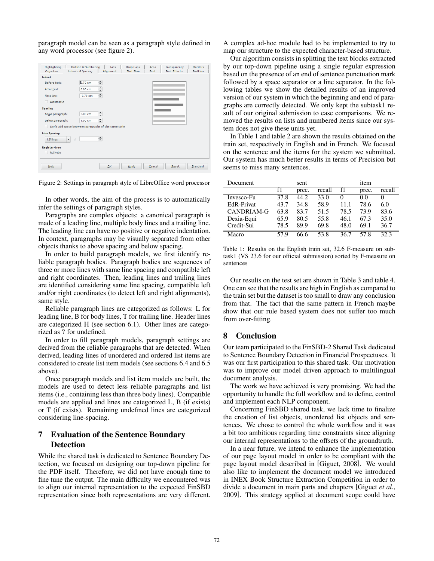paragraph model can be seen as a paragraph style defined in any word processor (see figure [2\)](#page-5-2).

<span id="page-5-2"></span>

| Highlighting                                         | Outline & Numbering              | Tabs      | <b>Drop Caps</b> | Area   | Transparency        | <b>Borders</b> |
|------------------------------------------------------|----------------------------------|-----------|------------------|--------|---------------------|----------------|
| Organizer                                            | Indents & Spacing                | Alignment | <b>Text Flow</b> | Font   | <b>Font Effects</b> | Position       |
| Indent                                               |                                  |           |                  |        |                     |                |
| Before text:                                         | ÷<br><b>b.70 cm</b>              |           |                  |        |                     |                |
| After text:                                          | $\div$<br>0.00 cm                |           |                  |        |                     |                |
| First line:                                          | $\hat{\mathbf{z}}$<br>$-0.70$ cm |           |                  |        |                     |                |
| Automatic                                            |                                  |           |                  |        |                     |                |
| <b>Spacing</b>                                       |                                  |           |                  |        |                     |                |
| Above paragraph:                                     | $\hat{\div}$<br>2.00 cm          |           |                  |        |                     |                |
| Below paragraph:                                     | $\hat{\mathbf{v}}$<br>1.00 cm    |           |                  |        |                     |                |
| Don't add space between paragraphs of the same style |                                  |           |                  |        |                     |                |
| <b>Line Spacing</b>                                  |                                  |           |                  |        |                     |                |
| $\overline{\phantom{a}}$<br>of<br>1.5 lines          | $\div$                           |           |                  |        |                     |                |
| <b>Register-true</b>                                 |                                  |           |                  |        |                     |                |
| Activate                                             |                                  |           |                  |        |                     |                |
|                                                      |                                  |           |                  |        |                     |                |
| Help                                                 |                                  | QK        | Apply            | Cancel | Reset               | Standard       |
|                                                      |                                  |           |                  |        |                     |                |

Figure 2: Settings in paragraph style of LibreOffice word processor

In other words, the aim of the process is to automatically infer the settings of paragraph styles.

Paragraphs are complex objects: a canonical paragraph is made of a leading line, multiple body lines and a trailing line. The leading line can have no positive or negative indentation. In context, paragraphs may be visually separated from other objects thanks to above spacing and below spacing.

In order to build paragraph models, we first identify reliable paragraph bodies. Paragraph bodies are sequences of three or more lines with same line spacing and compatible left and right coordinates. Then, leading lines and trailing lines are identified considering same line spacing, compatible left and/or right coordinates (to detect left and right alignments), same style.

Reliable paragraph lines are categorized as follows: L for leading line, B for body lines, T for trailing line. Header lines are categorized H (see section [6.1\)](#page-3-2). Other lines are categorized as ? for undefined.

In order to fill paragraph models, paragraph settings are derived from the reliable paragraphs that are detected. When derived, leading lines of unordered and ordered list items are considered to create list item models (see sections [6.4](#page-3-3) and [6.5](#page-4-0) above).

Once paragraph models and list item models are built, the models are used to detect less reliable paragraphs and list items (i.e., containing less than three body lines). Compatible models are applied and lines are categorized L, B (if exists) or T (if exists). Remaining undefined lines are categorized considering line-spacing.

# <span id="page-5-0"></span>7 Evaluation of the Sentence Boundary **Detection**

While the shared task is dedicated to Sentence Boundary Detection, we focused on designing our top-down pipeline for the PDF itself. Therefore, we did not have enough time to fine tune the output. The main difficulty we encountered was to align our internal representation to the expected FinSBD representation since both representations are very different. A complex ad-hoc module had to be implemented to try to map our structure to the expected character-based structure.

Our algorithm consists in splitting the text blocks extracted by our top-down pipeline using a single regular expression based on the presence of an end of sentence punctuation mark followed by a space separator or a line separator. In the following tables we show the detailed results of an improved version of our system in which the beginning and end of paragraphs are correctly detected. We only kept the subtask1 result of our original submission to ease comparisons. We removed the results on lists and numbered items since our system does not give these units yet.

In Table [1](#page-5-3) and table [2](#page-6-11) are shown the results obtained on the train set, respectively in English and in French. We focused on the sentence and the items for the system we submitted. Our system has much better results in terms of Precision but seems to miss many sentences.

<span id="page-5-3"></span>

| Document   |      | sent  |        |          | item  |          |
|------------|------|-------|--------|----------|-------|----------|
|            | f1   | prec. | recall | f1       | prec. | recall   |
| Invesco-Fu | 37.8 | 44.2  | 33.0   | $\theta$ | 0.0   | $\theta$ |
| EdR-Privat | 43.7 | 34.8  | 58.9   | 11.1     | 78.6  | 6.0      |
| CANDRIAM-G | 63.8 | 83.7  | 51.5   | 78.5     | 73.9  | 83.6     |
| Dexia-Equi | 65.9 | 80.5  | 55.8   | 46.1     | 67.3  | 35.0     |
| Credit-Sui | 78.5 | 89.9  | 69.8   | 48.0     | 69.1  | 36.7     |
| Macro      | 57.9 |       | 53.8   | 36.7     | 57.8  | 32.3     |

Table 1: Results on the English train set, 32.6 F-measure on subtask1 (VS 23.6 for our official submission) sorted by F-measure on sentences

Our results on the test set are shown in Table [3](#page-6-12) and table [4.](#page-6-13) One can see that the results are high in English as compared to the train set but the dataset is too small to draw any conclusion from that. The fact that the same pattern in French maybe show that our rule based system does not suffer too much from over-fitting.

# <span id="page-5-1"></span>8 Conclusion

Our team participated to the FinSBD-2 Shared Task dedicated to Sentence Boundary Detection in Financial Prospectuses. It was our first participation to this shared task. Our motivation was to improve our model driven approach to multilingual document analysis.

The work we have achieved is very promising. We had the opportunity to handle the full workflow and to define, control and implement each NLP component.

Concerning FinSBD shared task, we lack time to finalize the creation of list objects, unordered list objects and sentences. We chose to control the whole workflow and it was a bit too ambitious regarding time constraints since aligning our internal representations to the offsets of the groundtruth.

In a near future, we intend to enhance the implementation of our page layout model in order to be compliant with the page layout model described in [\[Giguet, 2008\]](#page-7-17). We would also like to implement the document model we introduced in INEX Book Structure Extraction Competition in order to divide a document in main parts and chapters [\[Giguet](#page-7-15) *et al.*, [2009\]](#page-7-15). This strategy applied at document scope could have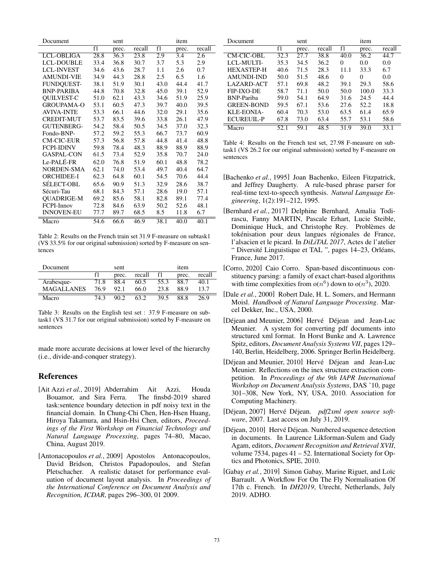<span id="page-6-11"></span>

| Document          |      | sent  |                   |      | item  |        |
|-------------------|------|-------|-------------------|------|-------|--------|
|                   | f1   | prec. | recall            | f1   | prec. | recall |
| <b>LCL-OBLIGA</b> | 28.8 | 36.3  | $23.\overline{8}$ | 2.9  | 3.4   | 2.6    |
| <b>LCL-DOUBLE</b> | 33.4 | 36.8  | 30.7              | 3.7  | 5.3   | 2.9    |
| <b>LCL-INVEST</b> | 34.6 | 43.6  | 28.7              | 1.1  | 2.6   | 0.7    |
| <b>AMUNDI-VIE</b> | 34.9 | 44.3  | 28.8              | 2.5  | 6.5   | 1.6    |
| <b>FUNDQUEST-</b> | 38.1 | 51.9  | 30.1              | 43.0 | 44.4  | 41.7   |
| <b>BNP-PARIBA</b> | 44.8 | 70.8  | 32.8              | 45.0 | 39.1  | 52.9   |
| <b>QUILVEST-C</b> | 51.0 | 62.1  | 43.3              | 34.6 | 51.9  | 25.9   |
| <b>GROUPAMA-O</b> | 53.1 | 60.5  | 47.3              | 39.7 | 40.0  | 39.5   |
| <b>AVIVA-INTE</b> | 53.3 | 66.1  | 44.6              | 32.0 | 29.1  | 35.6   |
| <b>CREDIT-MUT</b> | 53.7 | 83.5  | 39.6              | 33.8 | 26.1  | 47.9   |
| <b>GUTENBERG-</b> | 54.2 | 58.4  | 50.5              | 34.5 | 37.0  | 32.3   |
| Fondo-BNP-        | 57.2 | 59.2  | 55.3              | 66.7 | 73.7  | 60.9   |
| <b>CM-CIC-EUR</b> | 57.3 | 56.8  | 57.8              | 44.8 | 41.4  | 48.8   |
| <b>FCPI-IDINV</b> | 59.8 | 78.4  | 48.3              | 88.9 | 88.9  | 88.9   |
| <b>GASPAL-CON</b> | 61.5 | 73.4  | 52.9              | 35.8 | 70.7  | 24.0   |
| Le-PALÉ-FR        | 62.0 | 76.8  | 51.9              | 60.1 | 48.8  | 78.2   |
| NORDEN-SMA        | 62.1 | 74.0  | 53.4              | 49.7 | 40.4  | 64.7   |
| <b>ORCHIDEE-I</b> | 62.3 | 64.8  | 60.1              | 54.5 | 70.6  | 44.4   |
| SÉLECT-OBL        | 65.6 | 90.9  | 51.3              | 32.9 | 28.6  | 38.7   |
| Sécuri-Tau        | 68.1 | 84.3  | 57.1              | 28.6 | 19.0  | 57.1   |
| <b>OUADRIGE-M</b> | 69.2 | 85.6  | 58.1              | 82.8 | 89.1  | 77.4   |
| FCPI-Innov        | 72.8 | 84.6  | 63.9              | 50.2 | 52.6  | 48.1   |
| <b>INNOVEN-EU</b> | 77.7 | 89.7  | 68.5              | 8.5  | 11.8  | 6.7    |
| Macro             | 54.6 | 66.6  | 46.9              | 38.1 | 40.0  | 40.1   |

Table 2: Results on the French train set 31.9 F-measure on subtask1 (VS 33.5% for our original submission) sorted by F-measure on sentences

<span id="page-6-12"></span>

| Document          |      | sent  |        |      | item  |        |
|-------------------|------|-------|--------|------|-------|--------|
|                   | f1   | prec. | recall | f1   | prec. | recall |
| Arabesque-        | 71.8 | 88.4  | 60.5   | 55.3 | 88.7  | 40.1   |
| <b>MAGALLANES</b> | 76.9 | 92.1  | 66.0   | 23.8 | 88.9  | 13.7   |
| Macro             | 74.3 | 90 2  | 63.2   | 39.5 | 88.8  | 26.9   |

Table 3: Results on the English test set : 37.9 F-measure on subtask1 (VS 31.7 for our original submission) sorted by F-measure on sentences

made more accurate decisions at lower level of the hierarchy (i.e., divide-and-conquer strategy).

### References

- <span id="page-6-0"></span>[Ait Azzi *et al.*, 2019] Abderrahim Ait Azzi, Houda Bouamor, and Sira Ferra. The finsbd-2019 shared task:sentence boundary detection in pdf noisy text in the financial domain. In Chung-Chi Chen, Hen-Hsen Huang, Hiroya Takamura, and Hsin-Hsi Chen, editors, *Proceedings of the First Workshop on Financial Technology and Natural Language Processing*, pages 74–80, Macao, China, August 2019.
- <span id="page-6-8"></span>[Antonacopoulos *et al.*, 2009] Apostolos Antonacopoulos, David Bridson, Christos Papadopoulos, and Stefan Pletschacher. A realistic dataset for performance evaluation of document layout analysis. In *Proceedings of the International Conference on Document Analysis and Recognition, ICDAR*, pages 296–300, 01 2009.

<span id="page-6-13"></span>

| Document          |      | sent  |        |      | item  |        |
|-------------------|------|-------|--------|------|-------|--------|
|                   | f1   | prec. | recall | f1   | prec. | recall |
| CM-CIC-OBL        | 32.3 | 27.7  | 38.8   | 40.0 | 36.2  | 44.7   |
| LCL-MULTI-        | 35.3 | 34.5  | 36.2   | 0    | 0.0   | 0.0    |
| <b>HEXASTEP-H</b> | 40.6 | 71.5  | 28.3   | 11.1 | 33.3  | 6.7    |
| <b>AMUNDI-IND</b> | 50.0 | 51.5  | 48.6   | 0    | 0     | 0.0    |
| LAZARD-ACT        | 57.1 | 69.8  | 48.2   | 39.1 | 29.3  | 58.6   |
| FIP-IXO-DE        | 58.7 | 71.1  | 50.0   | 50.0 | 100.0 | 33.3   |
| <b>BNP-Pariba</b> | 59.0 | 54.1  | 64.9   | 31.6 | 24.5  | 44.4   |
| <b>GREEN-BOND</b> | 59.5 | 67.1  | 53.6   | 27.6 | 52.2  | 18.8   |
| KLE-EONIA-        | 60.4 | 70.3  | 53.0   | 63.5 | 61.4  | 65.9   |
| <b>ECUREUIL-P</b> | 67.8 | 73.0  | 63.4   | 55.7 | 53.1  | 58.6   |
| Macro             | 52.1 | 59.1  | 48.5   | 31.9 | 39.0  | 33.1   |

Table 4: Results on the French test set, 27.98 F-measure on subtask1 (VS 26.2 for our original submission) sorted by F-measure on sentences

- <span id="page-6-5"></span>[Bachenko *et al.*, 1995] Joan Bachenko, Eileen Fitzpatrick, and Jeffrey Daugherty. A rule-based phrase parser for real-time text-to-speech synthesis. *Natural Language Engineering*, 1(2):191–212, 1995.
- <span id="page-6-1"></span>[Bernhard *et al.*, 2017] Delphine Bernhard, Amalia Todirascu, Fanny MARTIN, Pascale Erhart, Lucie Steible, Dominique Huck, and Christophe Rey. Problèmes de tokénisation pour deux langues régionales de France, l'alsacien et le picard. In *DiLiTAL 2017*, Actes de l'atelier " Diversité Linguistique et TAL ", pages 14-23, Orléans, France, June 2017.
- <span id="page-6-3"></span>[Corro, 2020] Caio Corro. Span-based discontinuous constituency parsing: a family of exact chart-based algorithms with time complexities from  $o(n^6)$  down to  $o(n^3)$ , 2020.
- <span id="page-6-4"></span>[Dale *et al.*, 2000] Robert Dale, H. L. Somers, and Hermann Moisl. *Handbook of Natural Language Processing*. Marcel Dekker, Inc., USA, 2000.
- <span id="page-6-9"></span>[Déjean and Meunier, 2006] Hervé Déjean and Jean-Luc Meunier. A system for converting pdf documents into structured xml format. In Horst Bunke and A. Lawrence Spitz, editors, *Document Analysis Systems VII*, pages 129– 140, Berlin, Heidelberg, 2006. Springer Berlin Heidelberg.
- <span id="page-6-10"></span>[Déjean and Meunier, 2010] Hervé Déjean and Jean-Luc Meunier. Reflections on the inex structure extraction competition. In *Proceedings of the 9th IAPR International Workshop on Document Analysis Systems*, DAS '10, page 301–308, New York, NY, USA, 2010. Association for Computing Machinery.
- <span id="page-6-7"></span>[Déjean, 2007] Hervé Déjean. pdf2xml open source soft*ware*, 2007. Last access on July 31, 2019.
- <span id="page-6-6"></span>[Déjean, 2010] Hervé Déjean. Numbered sequence detection in documents. In Laurence Likforman-Sulem and Gady Agam, editors, *Document Recognition and Retrieval XVII*, volume 7534, pages 41 – 52. International Society for Optics and Photonics, SPIE, 2010.
- <span id="page-6-2"></span>[Gabay et al., 2019] Simon Gabay, Marine Riguet, and Loïc Barrault. A Workflow For On The Fly Normalisation Of 17th c. French. In *DH2019*, Utrecht, Netherlands, July 2019. ADHO.